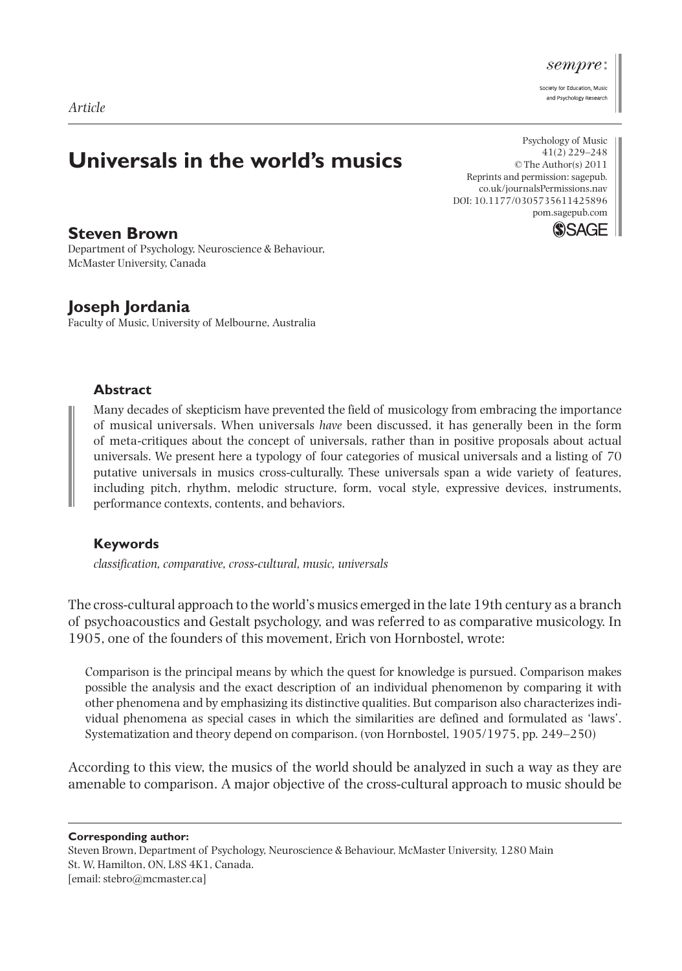#### sempi

Society for Education, Musiand Psychology Research

# **Universals in the world's musics**

Psychology of Music 41(2) 229–248 © The Author(s) 2011 Reprints and permission: sagepub. co.uk/journalsPermissions.nav DOI: 10.1177/0305735611425896 pom.sagepub.com



**Steven Brown** Department of Psychology, Neuroscience & Behaviour, McMaster University, Canada

#### **Joseph Jordania**

Faculty of Music, University of Melbourne, Australia

#### **Abstract**

Many decades of skepticism have prevented the field of musicology from embracing the importance of musical universals. When universals *have* been discussed, it has generally been in the form of meta-critiques about the concept of universals, rather than in positive proposals about actual universals. We present here a typology of four categories of musical universals and a listing of 70 putative universals in musics cross-culturally. These universals span a wide variety of features, including pitch, rhythm, melodic structure, form, vocal style, expressive devices, instruments, performance contexts, contents, and behaviors.

#### **Keywords**

*classification, comparative, cross-cultural, music, universals*

The cross-cultural approach to the world's musics emerged in the late 19th century as a branch of psychoacoustics and Gestalt psychology, and was referred to as comparative musicology. In 1905, one of the founders of this movement, Erich von Hornbostel, wrote:

Comparison is the principal means by which the quest for knowledge is pursued. Comparison makes possible the analysis and the exact description of an individual phenomenon by comparing it with other phenomena and by emphasizing its distinctive qualities. But comparison also characterizes individual phenomena as special cases in which the similarities are defined and formulated as 'laws'. Systematization and theory depend on comparison. (von Hornbostel, 1905/1975, pp. 249–250)

According to this view, the musics of the world should be analyzed in such a way as they are amenable to comparison. A major objective of the cross-cultural approach to music should be

**Corresponding author:**

Steven Brown, Department of Psychology, Neuroscience & Behaviour, McMaster University, 1280 Main St. W, Hamilton, ON, L8S 4K1, Canada. [email: stebro@mcmaster.ca]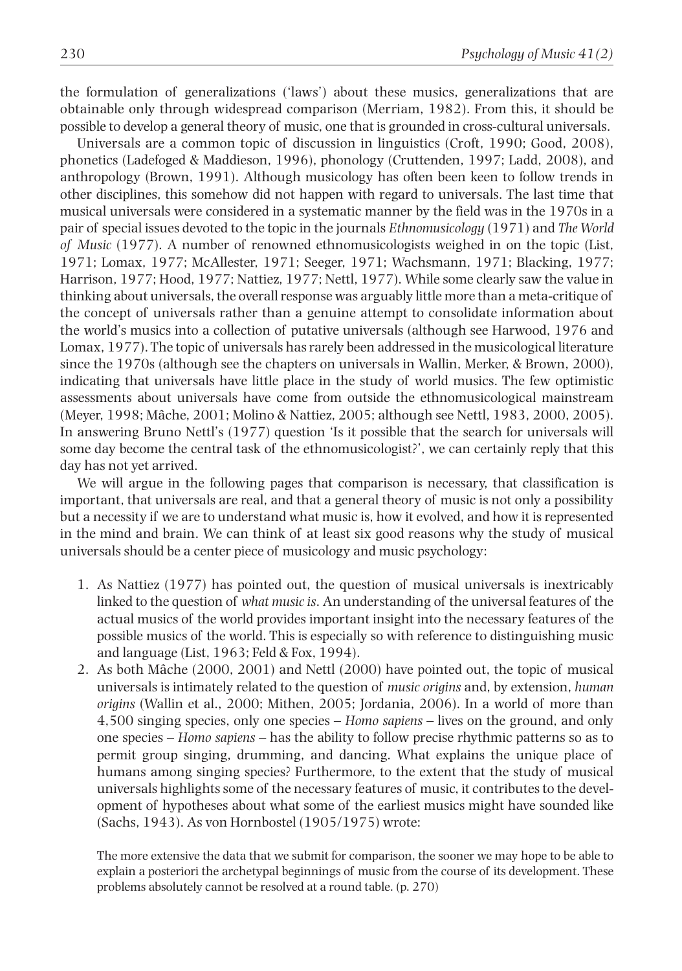the formulation of generalizations ('laws') about these musics, generalizations that are obtainable only through widespread comparison (Merriam, 1982). From this, it should be possible to develop a general theory of music, one that is grounded in cross-cultural universals.

Universals are a common topic of discussion in linguistics (Croft, 1990; Good, 2008), phonetics (Ladefoged & Maddieson, 1996), phonology (Cruttenden, 1997; Ladd, 2008), and anthropology (Brown, 1991). Although musicology has often been keen to follow trends in other disciplines, this somehow did not happen with regard to universals. The last time that musical universals were considered in a systematic manner by the field was in the 1970s in a pair of special issues devoted to the topic in the journals *Ethnomusicology* (1971) and *The World of Music* (1977). A number of renowned ethnomusicologists weighed in on the topic (List, 1971; Lomax, 1977; McAllester, 1971; Seeger, 1971; Wachsmann, 1971; Blacking, 1977; Harrison, 1977; Hood, 1977; Nattiez, 1977; Nettl, 1977). While some clearly saw the value in thinking about universals, the overall response was arguably little more than a meta-critique of the concept of universals rather than a genuine attempt to consolidate information about the world's musics into a collection of putative universals (although see Harwood, 1976 and Lomax, 1977). The topic of universals has rarely been addressed in the musicological literature since the 1970s (although see the chapters on universals in Wallin, Merker, & Brown, 2000), indicating that universals have little place in the study of world musics. The few optimistic assessments about universals have come from outside the ethnomusicological mainstream (Meyer, 1998; Mâche, 2001; Molino & Nattiez, 2005; although see Nettl, 1983, 2000, 2005). In answering Bruno Nettl's (1977) question 'Is it possible that the search for universals will some day become the central task of the ethnomusicologist?', we can certainly reply that this day has not yet arrived.

We will argue in the following pages that comparison is necessary, that classification is important, that universals are real, and that a general theory of music is not only a possibility but a necessity if we are to understand what music is, how it evolved, and how it is represented in the mind and brain. We can think of at least six good reasons why the study of musical universals should be a center piece of musicology and music psychology:

- 1. As Nattiez (1977) has pointed out, the question of musical universals is inextricably linked to the question of *what music is*. An understanding of the universal features of the actual musics of the world provides important insight into the necessary features of the possible musics of the world. This is especially so with reference to distinguishing music and language (List, 1963; Feld & Fox, 1994).
- 2. As both Mâche (2000, 2001) and Nettl (2000) have pointed out, the topic of musical universals is intimately related to the question of *music origins* and, by extension, *human origins* (Wallin et al., 2000; Mithen, 2005; Jordania, 2006). In a world of more than 4,500 singing species, only one species – *Homo sapiens* – lives on the ground, and only one species – *Homo sapiens* – has the ability to follow precise rhythmic patterns so as to permit group singing, drumming, and dancing. What explains the unique place of humans among singing species? Furthermore, to the extent that the study of musical universals highlights some of the necessary features of music, it contributes to the development of hypotheses about what some of the earliest musics might have sounded like (Sachs, 1943). As von Hornbostel (1905/1975) wrote:

The more extensive the data that we submit for comparison, the sooner we may hope to be able to explain a posteriori the archetypal beginnings of music from the course of its development. These problems absolutely cannot be resolved at a round table. (p. 270)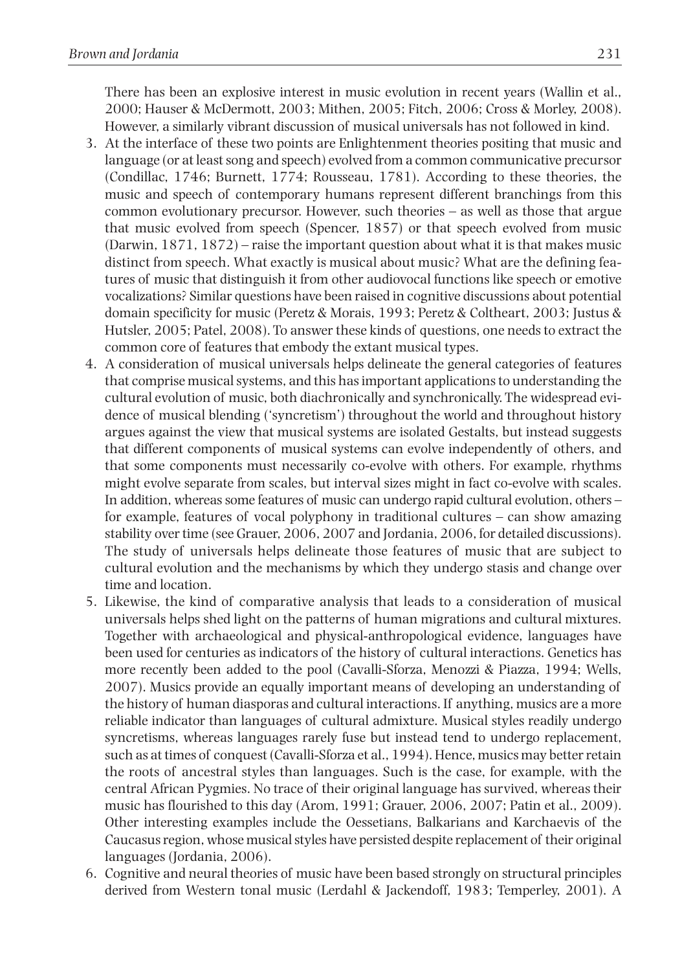There has been an explosive interest in music evolution in recent years (Wallin et al., 2000; Hauser & McDermott, 2003; Mithen, 2005; Fitch, 2006; Cross & Morley, 2008). However, a similarly vibrant discussion of musical universals has not followed in kind.

- 3. At the interface of these two points are Enlightenment theories positing that music and language (or at least song and speech) evolved from a common communicative precursor (Condillac, 1746; Burnett, 1774; Rousseau, 1781). According to these theories, the music and speech of contemporary humans represent different branchings from this common evolutionary precursor. However, such theories – as well as those that argue that music evolved from speech (Spencer, 1857) or that speech evolved from music (Darwin, 1871, 1872) – raise the important question about what it is that makes music distinct from speech. What exactly is musical about music? What are the defining features of music that distinguish it from other audiovocal functions like speech or emotive vocalizations? Similar questions have been raised in cognitive discussions about potential domain specificity for music (Peretz & Morais, 1993; Peretz & Coltheart, 2003; Justus & Hutsler, 2005; Patel, 2008). To answer these kinds of questions, one needs to extract the common core of features that embody the extant musical types.
- 4. A consideration of musical universals helps delineate the general categories of features that comprise musical systems, and this has important applications to understanding the cultural evolution of music, both diachronically and synchronically. The widespread evidence of musical blending ('syncretism') throughout the world and throughout history argues against the view that musical systems are isolated Gestalts, but instead suggests that different components of musical systems can evolve independently of others, and that some components must necessarily co-evolve with others. For example, rhythms might evolve separate from scales, but interval sizes might in fact co-evolve with scales. In addition, whereas some features of music can undergo rapid cultural evolution, others – for example, features of vocal polyphony in traditional cultures – can show amazing stability over time (see Grauer, 2006, 2007 and Jordania, 2006, for detailed discussions). The study of universals helps delineate those features of music that are subject to cultural evolution and the mechanisms by which they undergo stasis and change over time and location.
- 5. Likewise, the kind of comparative analysis that leads to a consideration of musical universals helps shed light on the patterns of human migrations and cultural mixtures. Together with archaeological and physical-anthropological evidence, languages have been used for centuries as indicators of the history of cultural interactions. Genetics has more recently been added to the pool (Cavalli-Sforza, Menozzi & Piazza, 1994; Wells, 2007). Musics provide an equally important means of developing an understanding of the history of human diasporas and cultural interactions. If anything, musics are a more reliable indicator than languages of cultural admixture. Musical styles readily undergo syncretisms, whereas languages rarely fuse but instead tend to undergo replacement, such as at times of conquest (Cavalli-Sforza et al., 1994). Hence, musics may better retain the roots of ancestral styles than languages. Such is the case, for example, with the central African Pygmies. No trace of their original language has survived, whereas their music has flourished to this day (Arom, 1991; Grauer, 2006, 2007; Patin et al., 2009). Other interesting examples include the Oessetians, Balkarians and Karchaevis of the Caucasus region, whose musical styles have persisted despite replacement of their original languages (Jordania, 2006).
- 6. Cognitive and neural theories of music have been based strongly on structural principles derived from Western tonal music (Lerdahl & Jackendoff, 1983; Temperley, 2001). A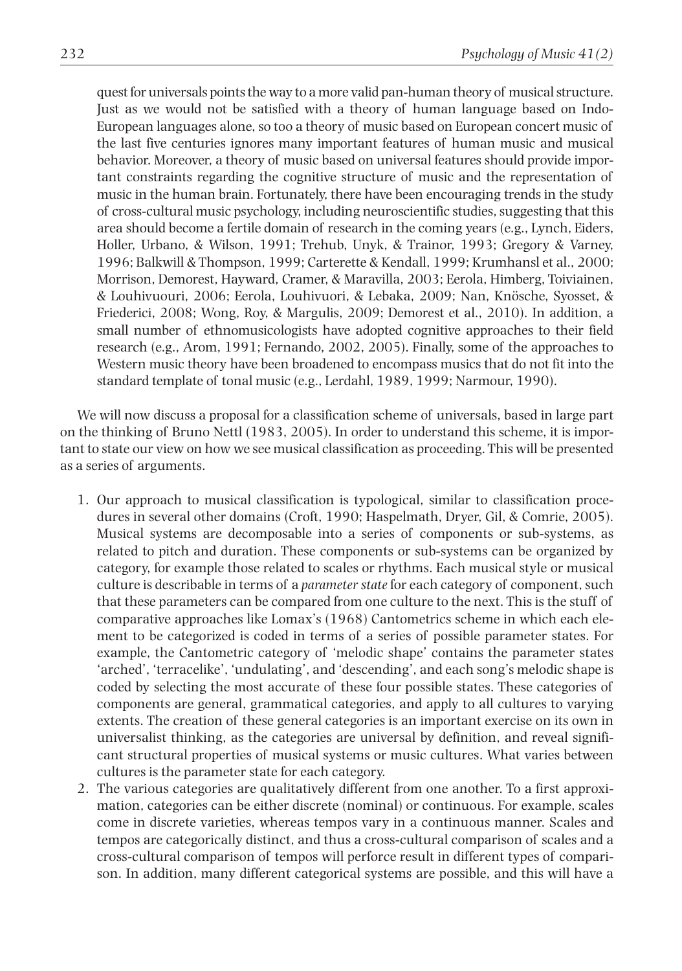quest for universals points the way to a more valid pan-human theory of musical structure. Just as we would not be satisfied with a theory of human language based on Indo-European languages alone, so too a theory of music based on European concert music of the last five centuries ignores many important features of human music and musical behavior. Moreover, a theory of music based on universal features should provide important constraints regarding the cognitive structure of music and the representation of music in the human brain. Fortunately, there have been encouraging trends in the study of cross-cultural music psychology, including neuroscientific studies, suggesting that this area should become a fertile domain of research in the coming years (e.g., Lynch, Eiders, Holler, Urbano, & Wilson, 1991; Trehub, Unyk, & Trainor, 1993; Gregory & Varney, 1996; Balkwill & Thompson, 1999; Carterette & Kendall, 1999; Krumhansl et al., 2000; Morrison, Demorest, Hayward, Cramer, & Maravilla, 2003; Eerola, Himberg, Toiviainen, & Louhivuouri, 2006; Eerola, Louhivuori, & Lebaka, 2009; Nan, Knösche, Syosset, & Friederici, 2008; Wong, Roy, & Margulis, 2009; Demorest et al., 2010). In addition, a small number of ethnomusicologists have adopted cognitive approaches to their field research (e.g., Arom, 1991; Fernando, 2002, 2005). Finally, some of the approaches to Western music theory have been broadened to encompass musics that do not fit into the standard template of tonal music (e.g., Lerdahl, 1989, 1999; Narmour, 1990).

We will now discuss a proposal for a classification scheme of universals, based in large part on the thinking of Bruno Nettl (1983, 2005). In order to understand this scheme, it is important to state our view on how we see musical classification as proceeding. This will be presented as a series of arguments.

- 1. Our approach to musical classification is typological, similar to classification procedures in several other domains (Croft, 1990; Haspelmath, Dryer, Gil, & Comrie, 2005). Musical systems are decomposable into a series of components or sub-systems, as related to pitch and duration. These components or sub-systems can be organized by category, for example those related to scales or rhythms. Each musical style or musical culture is describable in terms of a *parameter state* for each category of component, such that these parameters can be compared from one culture to the next. This is the stuff of comparative approaches like Lomax's (1968) Cantometrics scheme in which each element to be categorized is coded in terms of a series of possible parameter states. For example, the Cantometric category of 'melodic shape' contains the parameter states 'arched', 'terracelike', 'undulating', and 'descending', and each song's melodic shape is coded by selecting the most accurate of these four possible states. These categories of components are general, grammatical categories, and apply to all cultures to varying extents. The creation of these general categories is an important exercise on its own in universalist thinking, as the categories are universal by definition, and reveal significant structural properties of musical systems or music cultures. What varies between cultures is the parameter state for each category.
- 2. The various categories are qualitatively different from one another. To a first approximation, categories can be either discrete (nominal) or continuous. For example, scales come in discrete varieties, whereas tempos vary in a continuous manner. Scales and tempos are categorically distinct, and thus a cross-cultural comparison of scales and a cross-cultural comparison of tempos will perforce result in different types of comparison. In addition, many different categorical systems are possible, and this will have a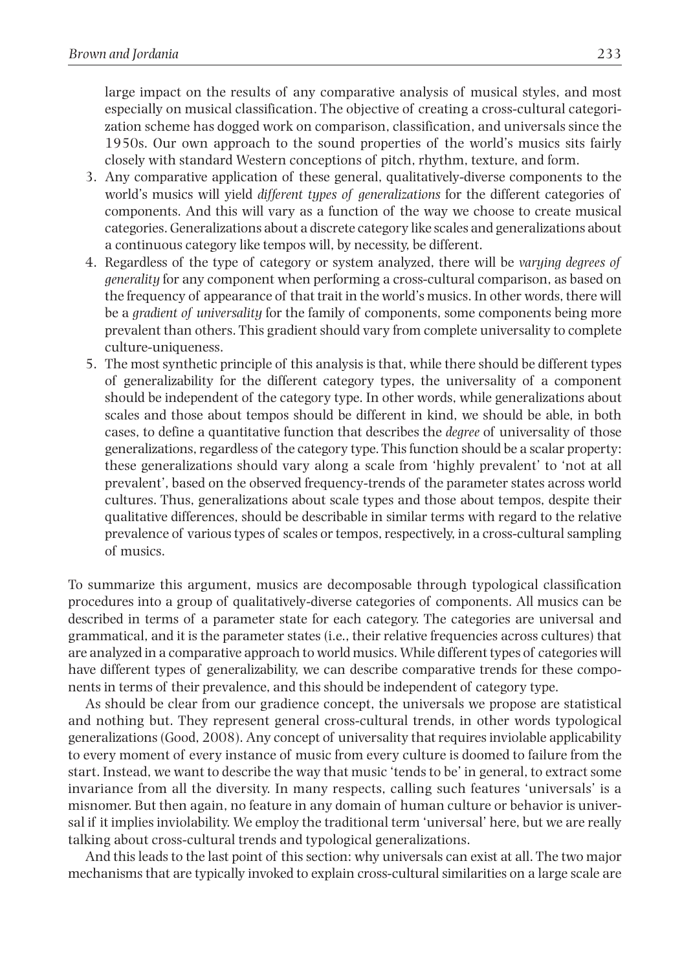large impact on the results of any comparative analysis of musical styles, and most especially on musical classification. The objective of creating a cross-cultural categorization scheme has dogged work on comparison, classification, and universals since the 1950s. Our own approach to the sound properties of the world's musics sits fairly closely with standard Western conceptions of pitch, rhythm, texture, and form.

- 3. Any comparative application of these general, qualitatively-diverse components to the world's musics will yield *different types of generalizations* for the different categories of components. And this will vary as a function of the way we choose to create musical categories. Generalizations about a discrete category like scales and generalizations about a continuous category like tempos will, by necessity, be different.
- 4. Regardless of the type of category or system analyzed, there will be *varying degrees of generality* for any component when performing a cross-cultural comparison, as based on the frequency of appearance of that trait in the world's musics. In other words, there will be a *gradient of universality* for the family of components, some components being more prevalent than others. This gradient should vary from complete universality to complete culture-uniqueness.
- 5. The most synthetic principle of this analysis is that, while there should be different types of generalizability for the different category types, the universality of a component should be independent of the category type. In other words, while generalizations about scales and those about tempos should be different in kind, we should be able, in both cases, to define a quantitative function that describes the *degree* of universality of those generalizations, regardless of the category type. This function should be a scalar property: these generalizations should vary along a scale from 'highly prevalent' to 'not at all prevalent', based on the observed frequency-trends of the parameter states across world cultures. Thus, generalizations about scale types and those about tempos, despite their qualitative differences, should be describable in similar terms with regard to the relative prevalence of various types of scales or tempos, respectively, in a cross-cultural sampling of musics.

To summarize this argument, musics are decomposable through typological classification procedures into a group of qualitatively-diverse categories of components. All musics can be described in terms of a parameter state for each category. The categories are universal and grammatical, and it is the parameter states (i.e., their relative frequencies across cultures) that are analyzed in a comparative approach to world musics. While different types of categories will have different types of generalizability, we can describe comparative trends for these components in terms of their prevalence, and this should be independent of category type.

As should be clear from our gradience concept, the universals we propose are statistical and nothing but. They represent general cross-cultural trends, in other words typological generalizations (Good, 2008). Any concept of universality that requires inviolable applicability to every moment of every instance of music from every culture is doomed to failure from the start. Instead, we want to describe the way that music 'tends to be' in general, to extract some invariance from all the diversity. In many respects, calling such features 'universals' is a misnomer. But then again, no feature in any domain of human culture or behavior is universal if it implies inviolability. We employ the traditional term 'universal' here, but we are really talking about cross-cultural trends and typological generalizations.

And this leads to the last point of this section: why universals can exist at all. The two major mechanisms that are typically invoked to explain cross-cultural similarities on a large scale are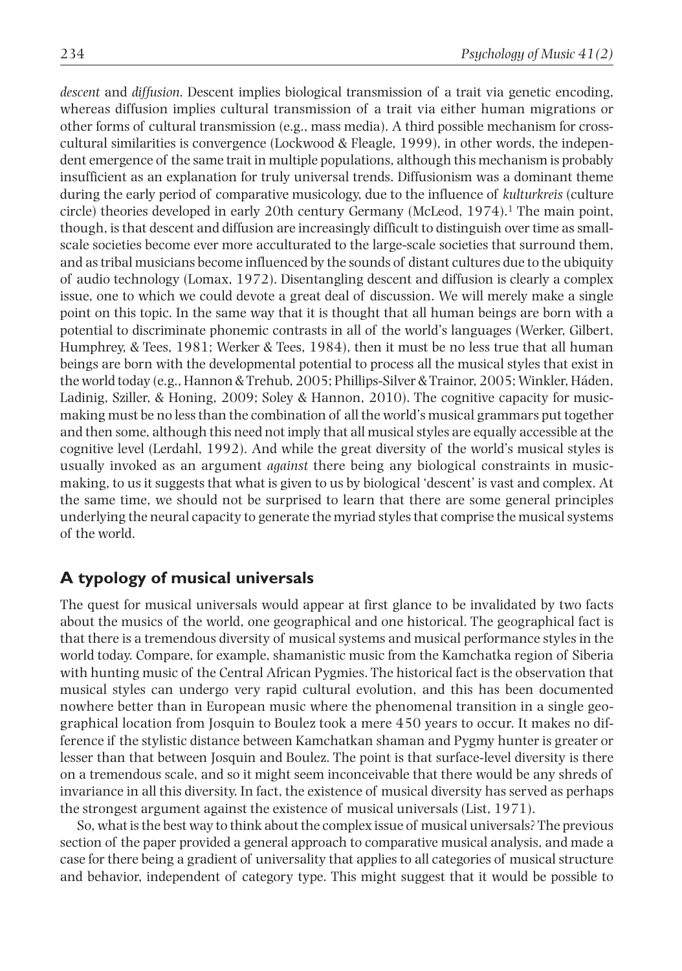*descent* and *diffusion*. Descent implies biological transmission of a trait via genetic encoding, whereas diffusion implies cultural transmission of a trait via either human migrations or other forms of cultural transmission (e.g., mass media). A third possible mechanism for crosscultural similarities is convergence (Lockwood & Fleagle, 1999), in other words, the independent emergence of the same trait in multiple populations, although this mechanism is probably insufficient as an explanation for truly universal trends. Diffusionism was a dominant theme during the early period of comparative musicology, due to the influence of *kulturkreis* (culture circle) theories developed in early 20th century Germany (McLeod,  $1974$ ).<sup>1</sup> The main point, though, is that descent and diffusion are increasingly difficult to distinguish over time as smallscale societies become ever more acculturated to the large-scale societies that surround them, and as tribal musicians become influenced by the sounds of distant cultures due to the ubiquity of audio technology (Lomax, 1972). Disentangling descent and diffusion is clearly a complex issue, one to which we could devote a great deal of discussion. We will merely make a single point on this topic. In the same way that it is thought that all human beings are born with a potential to discriminate phonemic contrasts in all of the world's languages (Werker, Gilbert, Humphrey, & Tees, 1981; Werker & Tees, 1984), then it must be no less true that all human beings are born with the developmental potential to process all the musical styles that exist in the world today (e.g., Hannon & Trehub, 2005; Phillips-Silver & Trainor, 2005; Winkler, Háden, Ladinig, Sziller, & Honing, 2009; Soley & Hannon, 2010). The cognitive capacity for musicmaking must be no less than the combination of all the world's musical grammars put together and then some, although this need not imply that all musical styles are equally accessible at the cognitive level (Lerdahl, 1992). And while the great diversity of the world's musical styles is usually invoked as an argument *against* there being any biological constraints in musicmaking, to us it suggests that what is given to us by biological 'descent' is vast and complex. At the same time, we should not be surprised to learn that there are some general principles underlying the neural capacity to generate the myriad styles that comprise the musical systems of the world.

## **A typology of musical universals**

The quest for musical universals would appear at first glance to be invalidated by two facts about the musics of the world, one geographical and one historical. The geographical fact is that there is a tremendous diversity of musical systems and musical performance styles in the world today. Compare, for example, shamanistic music from the Kamchatka region of Siberia with hunting music of the Central African Pygmies. The historical fact is the observation that musical styles can undergo very rapid cultural evolution, and this has been documented nowhere better than in European music where the phenomenal transition in a single geographical location from Josquin to Boulez took a mere 450 years to occur. It makes no difference if the stylistic distance between Kamchatkan shaman and Pygmy hunter is greater or lesser than that between Josquin and Boulez. The point is that surface-level diversity is there on a tremendous scale, and so it might seem inconceivable that there would be any shreds of invariance in all this diversity. In fact, the existence of musical diversity has served as perhaps the strongest argument against the existence of musical universals (List, 1971).

So, what is the best way to think about the complex issue of musical universals? The previous section of the paper provided a general approach to comparative musical analysis, and made a case for there being a gradient of universality that applies to all categories of musical structure and behavior, independent of category type. This might suggest that it would be possible to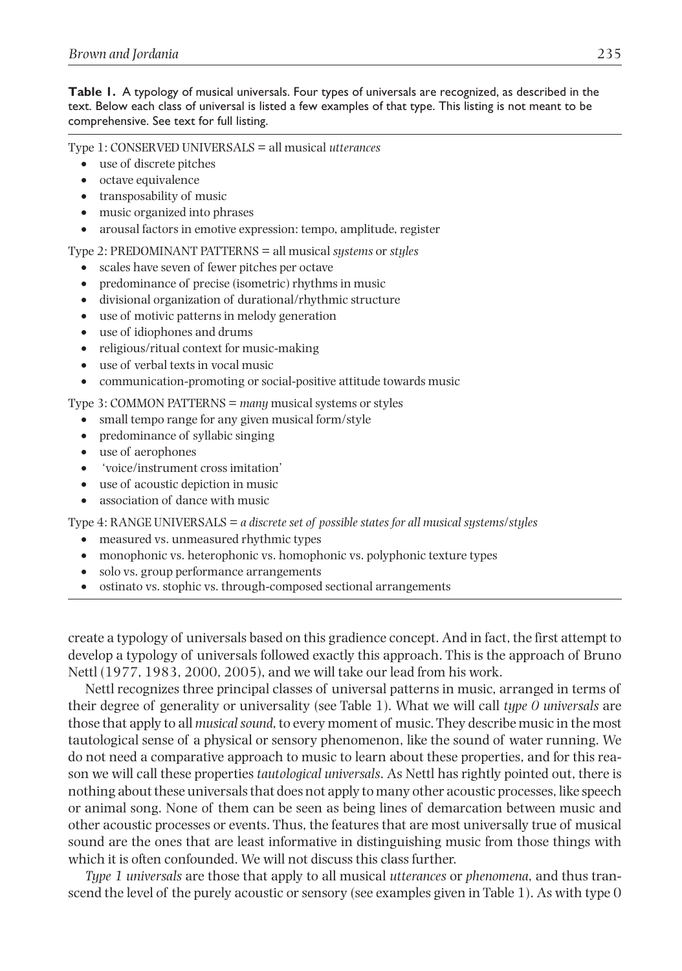**Table 1.** A typology of musical universals. Four types of universals are recognized, as described in the text. Below each class of universal is listed a few examples of that type. This listing is not meant to be comprehensive. See text for full listing.

Type 1: CONSERVED UNIVERSALS = all musical *utterances*

- use of discrete pitches
- octave equivalence
- transposability of music
- music organized into phrases
- arousal factors in emotive expression: tempo, amplitude, register

Type 2: PREDOMINANT PATTERNS = all musical *systems* or *styles*

- scales have seven of fewer pitches per octave
- predominance of precise (isometric) rhythms in music
- divisional organization of durational/rhythmic structure
- use of motivic patterns in melody generation
- use of idiophones and drums
- religious/ritual context for music-making
- use of verbal texts in vocal music
- communication-promoting or social-positive attitude towards music

Type 3: COMMON PATTERNS = *many* musical systems or styles

- small tempo range for any given musical form/style
- predominance of syllabic singing
- use of aerophones
- 'voice/instrument cross imitation'
- use of acoustic depiction in music
- association of dance with music

Type 4: RANGE UNIVERSALS = *a discrete set of possible states for all musical systems/styles*

- measured vs. unmeasured rhythmic types
- monophonic vs. heterophonic vs. homophonic vs. polyphonic texture types
- solo vs. group performance arrangements
- ostinato vs. stophic vs. through-composed sectional arrangements

create a typology of universals based on this gradience concept. And in fact, the first attempt to develop a typology of universals followed exactly this approach. This is the approach of Bruno Nettl (1977, 1983, 2000, 2005), and we will take our lead from his work.

Nettl recognizes three principal classes of universal patterns in music, arranged in terms of their degree of generality or universality (see Table 1). What we will call *type 0 universals* are those that apply to all *musical sound*, to every moment of music. They describe music in the most tautological sense of a physical or sensory phenomenon, like the sound of water running. We do not need a comparative approach to music to learn about these properties, and for this reason we will call these properties *tautological universals*. As Nettl has rightly pointed out, there is nothing about these universals that does not apply to many other acoustic processes, like speech or animal song. None of them can be seen as being lines of demarcation between music and other acoustic processes or events. Thus, the features that are most universally true of musical sound are the ones that are least informative in distinguishing music from those things with which it is often confounded. We will not discuss this class further.

*Type 1 universals* are those that apply to all musical *utterances* or *phenomena*, and thus transcend the level of the purely acoustic or sensory (see examples given in Table 1). As with type 0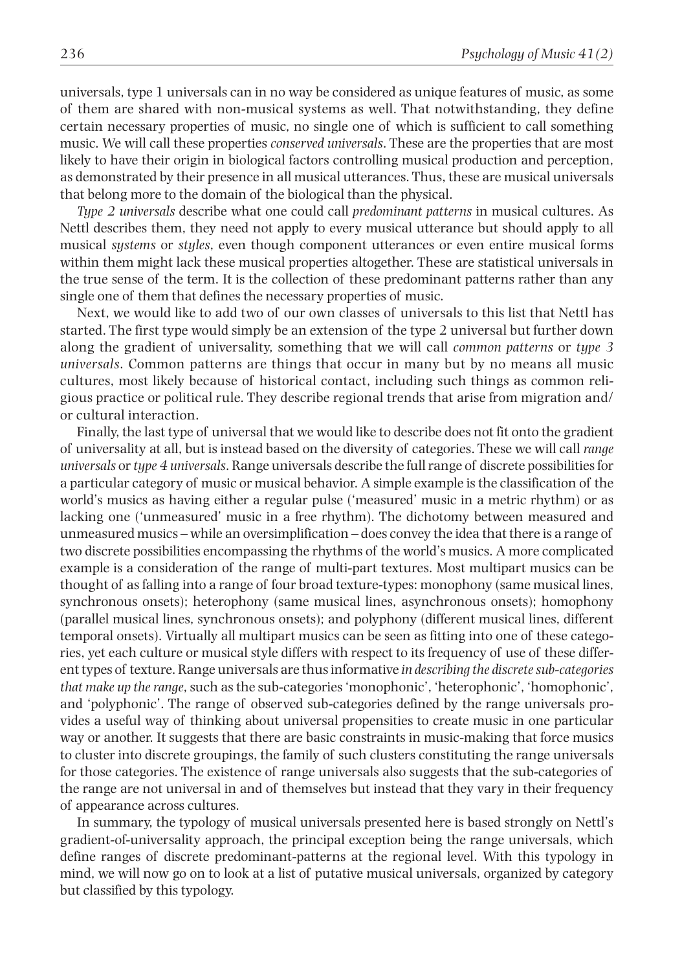universals, type 1 universals can in no way be considered as unique features of music, as some of them are shared with non-musical systems as well. That notwithstanding, they define certain necessary properties of music, no single one of which is sufficient to call something music. We will call these properties *conserved universals*. These are the properties that are most likely to have their origin in biological factors controlling musical production and perception, as demonstrated by their presence in all musical utterances. Thus, these are musical universals that belong more to the domain of the biological than the physical.

*Type 2 universals* describe what one could call *predominant patterns* in musical cultures. As Nettl describes them, they need not apply to every musical utterance but should apply to all musical *systems* or *styles*, even though component utterances or even entire musical forms within them might lack these musical properties altogether. These are statistical universals in the true sense of the term. It is the collection of these predominant patterns rather than any single one of them that defines the necessary properties of music.

Next, we would like to add two of our own classes of universals to this list that Nettl has started. The first type would simply be an extension of the type 2 universal but further down along the gradient of universality, something that we will call *common patterns* or *type 3 universals*. Common patterns are things that occur in many but by no means all music cultures, most likely because of historical contact, including such things as common religious practice or political rule. They describe regional trends that arise from migration and/ or cultural interaction.

Finally, the last type of universal that we would like to describe does not fit onto the gradient of universality at all, but is instead based on the diversity of categories. These we will call *range universals* or *type 4 universals*. Range universals describe the full range of discrete possibilities for a particular category of music or musical behavior. A simple example is the classification of the world's musics as having either a regular pulse ('measured' music in a metric rhythm) or as lacking one ('unmeasured' music in a free rhythm). The dichotomy between measured and unmeasured musics – while an oversimplification – does convey the idea that there is a range of two discrete possibilities encompassing the rhythms of the world's musics. A more complicated example is a consideration of the range of multi-part textures. Most multipart musics can be thought of as falling into a range of four broad texture-types: monophony (same musical lines, synchronous onsets); heterophony (same musical lines, asynchronous onsets); homophony (parallel musical lines, synchronous onsets); and polyphony (different musical lines, different temporal onsets). Virtually all multipart musics can be seen as fitting into one of these categories, yet each culture or musical style differs with respect to its frequency of use of these different types of texture. Range universals are thus informative *in describing the discrete sub-categories that make up the range*, such as the sub-categories 'monophonic', 'heterophonic', 'homophonic', and 'polyphonic'. The range of observed sub-categories defined by the range universals provides a useful way of thinking about universal propensities to create music in one particular way or another. It suggests that there are basic constraints in music-making that force musics to cluster into discrete groupings, the family of such clusters constituting the range universals for those categories. The existence of range universals also suggests that the sub-categories of the range are not universal in and of themselves but instead that they vary in their frequency of appearance across cultures.

In summary, the typology of musical universals presented here is based strongly on Nettl's gradient-of-universality approach, the principal exception being the range universals, which define ranges of discrete predominant-patterns at the regional level. With this typology in mind, we will now go on to look at a list of putative musical universals, organized by category but classified by this typology.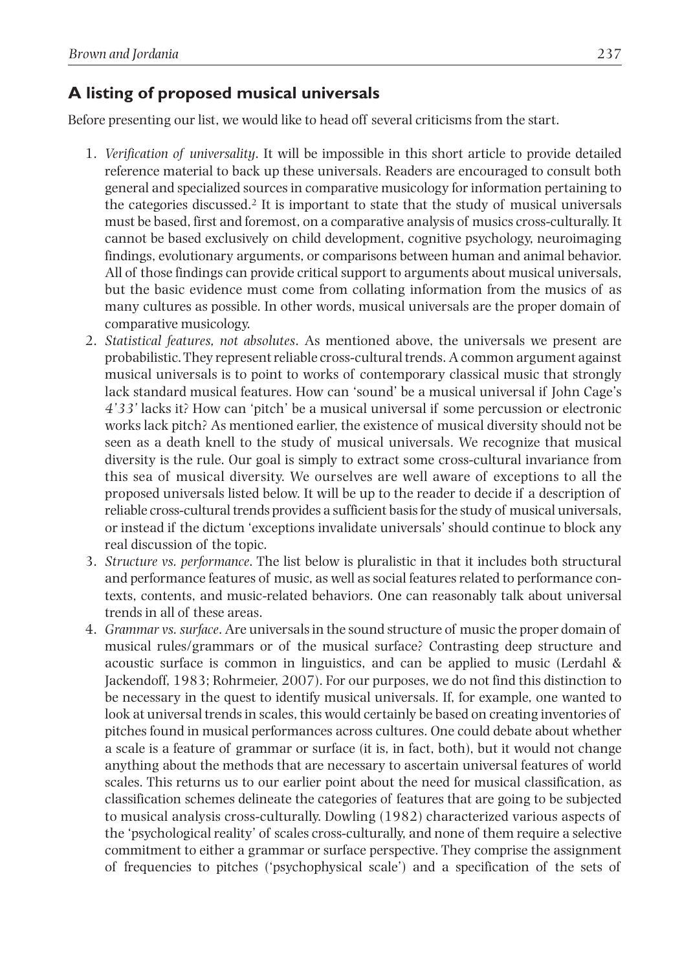## **A listing of proposed musical universals**

Before presenting our list, we would like to head off several criticisms from the start.

- 1. *Verification of universality*. It will be impossible in this short article to provide detailed reference material to back up these universals. Readers are encouraged to consult both general and specialized sources in comparative musicology for information pertaining to the categories discussed.<sup>2</sup> It is important to state that the study of musical universals must be based, first and foremost, on a comparative analysis of musics cross-culturally. It cannot be based exclusively on child development, cognitive psychology, neuroimaging findings, evolutionary arguments, or comparisons between human and animal behavior. All of those findings can provide critical support to arguments about musical universals, but the basic evidence must come from collating information from the musics of as many cultures as possible. In other words, musical universals are the proper domain of comparative musicology.
- 2. *Statistical features, not absolutes*. As mentioned above, the universals we present are probabilistic. They represent reliable cross-cultural trends. A common argument against musical universals is to point to works of contemporary classical music that strongly lack standard musical features. How can 'sound' be a musical universal if John Cage's *4'33'* lacks it? How can 'pitch' be a musical universal if some percussion or electronic works lack pitch? As mentioned earlier, the existence of musical diversity should not be seen as a death knell to the study of musical universals. We recognize that musical diversity is the rule. Our goal is simply to extract some cross-cultural invariance from this sea of musical diversity. We ourselves are well aware of exceptions to all the proposed universals listed below. It will be up to the reader to decide if a description of reliable cross-cultural trends provides a sufficient basis for the study of musical universals, or instead if the dictum 'exceptions invalidate universals' should continue to block any real discussion of the topic.
- 3. *Structure vs. performance*. The list below is pluralistic in that it includes both structural and performance features of music, as well as social features related to performance contexts, contents, and music-related behaviors. One can reasonably talk about universal trends in all of these areas.
- 4. *Grammar vs. surface*. Are universals in the sound structure of music the proper domain of musical rules/grammars or of the musical surface? Contrasting deep structure and acoustic surface is common in linguistics, and can be applied to music (Lerdahl & Jackendoff, 1983; Rohrmeier, 2007). For our purposes, we do not find this distinction to be necessary in the quest to identify musical universals. If, for example, one wanted to look at universal trends in scales, this would certainly be based on creating inventories of pitches found in musical performances across cultures. One could debate about whether a scale is a feature of grammar or surface (it is, in fact, both), but it would not change anything about the methods that are necessary to ascertain universal features of world scales. This returns us to our earlier point about the need for musical classification, as classification schemes delineate the categories of features that are going to be subjected to musical analysis cross-culturally. Dowling (1982) characterized various aspects of the 'psychological reality' of scales cross-culturally, and none of them require a selective commitment to either a grammar or surface perspective. They comprise the assignment of frequencies to pitches ('psychophysical scale') and a specification of the sets of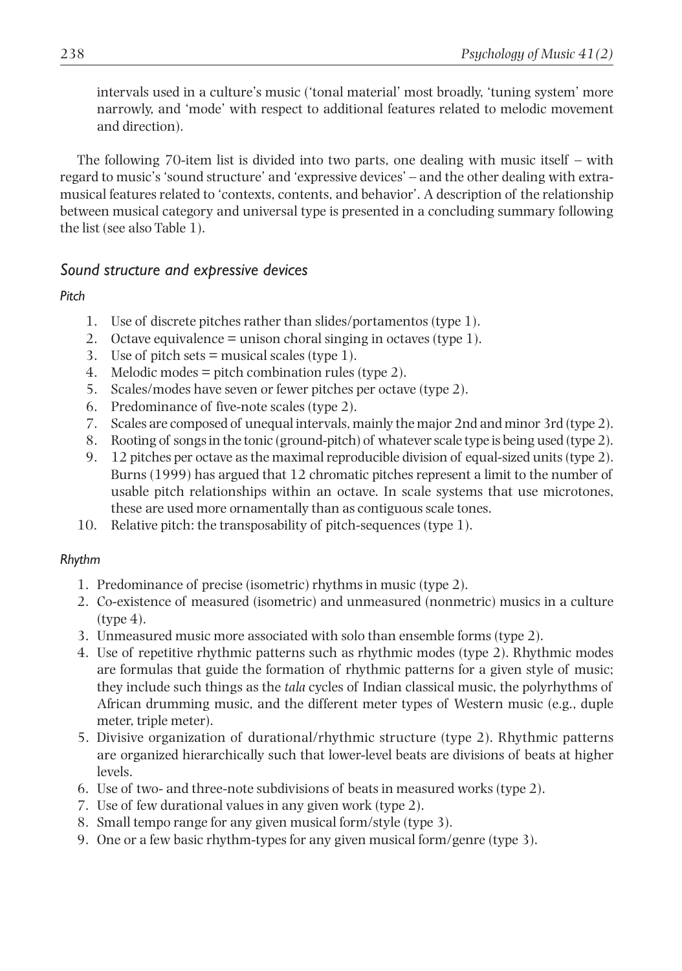intervals used in a culture's music ('tonal material' most broadly, 'tuning system' more narrowly, and 'mode' with respect to additional features related to melodic movement and direction).

The following 70-item list is divided into two parts, one dealing with music itself – with regard to music's 'sound structure' and 'expressive devices' – and the other dealing with extramusical features related to 'contexts, contents, and behavior'. A description of the relationship between musical category and universal type is presented in a concluding summary following the list (see also Table 1).

### *Sound structure and expressive devices*

*Pitch*

- 1. Use of discrete pitches rather than slides/portamentos (type 1).
- 2. Octave equivalence  $=$  unison choral singing in octaves (type 1).
- 3. Use of pitch sets  $=$  musical scales (type 1).
- 4. Melodic modes = pitch combination rules (type 2).
- 5. Scales/modes have seven or fewer pitches per octave (type 2).
- 6. Predominance of five-note scales (type 2).
- 7. Scales are composed of unequal intervals, mainly the major 2nd and minor 3rd (type 2).
- 8. Rooting of songs in the tonic (ground-pitch) of whatever scale type is being used (type 2).
- 9. 12 pitches per octave as the maximal reproducible division of equal-sized units (type 2). Burns (1999) has argued that 12 chromatic pitches represent a limit to the number of usable pitch relationships within an octave. In scale systems that use microtones, these are used more ornamentally than as contiguous scale tones.
- 10. Relative pitch: the transposability of pitch-sequences (type 1).

#### *Rhythm*

- 1. Predominance of precise (isometric) rhythms in music (type 2).
- 2. Co-existence of measured (isometric) and unmeasured (nonmetric) musics in a culture (type 4).
- 3. Unmeasured music more associated with solo than ensemble forms (type 2).
- 4. Use of repetitive rhythmic patterns such as rhythmic modes (type 2). Rhythmic modes are formulas that guide the formation of rhythmic patterns for a given style of music; they include such things as the *tala* cycles of Indian classical music, the polyrhythms of African drumming music, and the different meter types of Western music (e.g., duple meter, triple meter).
- 5. Divisive organization of durational/rhythmic structure (type 2). Rhythmic patterns are organized hierarchically such that lower-level beats are divisions of beats at higher levels.
- 6. Use of two- and three-note subdivisions of beats in measured works (type 2).
- 7. Use of few durational values in any given work (type 2).
- 8. Small tempo range for any given musical form/style (type 3).
- 9. One or a few basic rhythm-types for any given musical form/genre (type 3).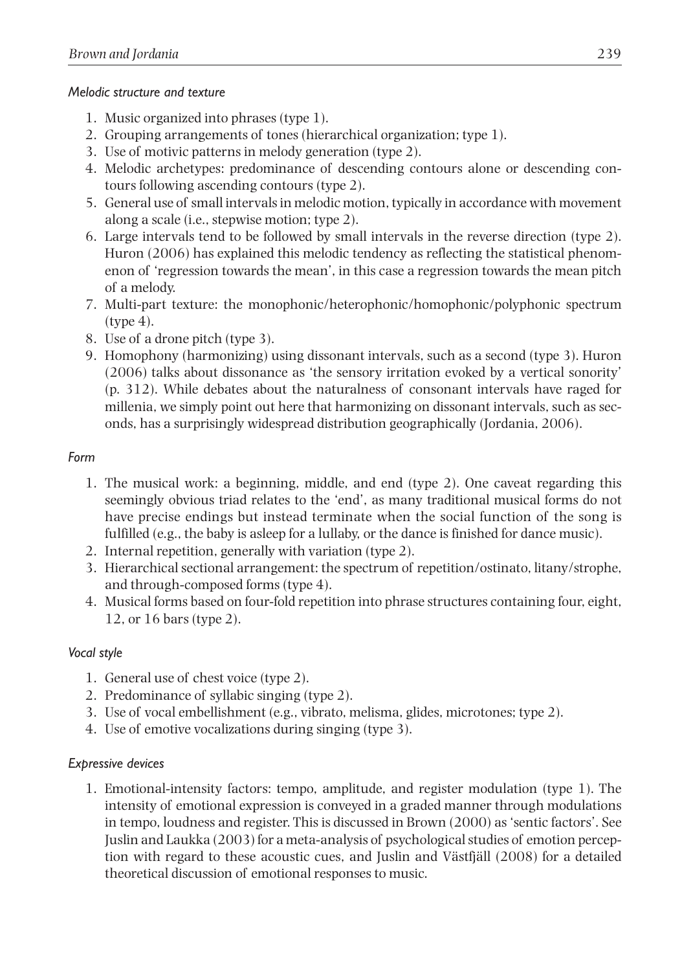### *Melodic structure and texture*

- 1. Music organized into phrases (type 1).
- 2. Grouping arrangements of tones (hierarchical organization; type 1).
- 3. Use of motivic patterns in melody generation (type 2).
- 4. Melodic archetypes: predominance of descending contours alone or descending contours following ascending contours (type 2).
- 5. General use of small intervals in melodic motion, typically in accordance with movement along a scale (i.e., stepwise motion; type 2).
- 6. Large intervals tend to be followed by small intervals in the reverse direction (type 2). Huron (2006) has explained this melodic tendency as reflecting the statistical phenomenon of 'regression towards the mean', in this case a regression towards the mean pitch of a melody.
- 7. Multi-part texture: the monophonic/heterophonic/homophonic/polyphonic spectrum  $(tvpe 4)$ .
- 8. Use of a drone pitch (type 3).
- 9. Homophony (harmonizing) using dissonant intervals, such as a second (type 3). Huron (2006) talks about dissonance as 'the sensory irritation evoked by a vertical sonority' (p. 312). While debates about the naturalness of consonant intervals have raged for millenia, we simply point out here that harmonizing on dissonant intervals, such as seconds, has a surprisingly widespread distribution geographically (Jordania, 2006).

### *Form*

- 1. The musical work: a beginning, middle, and end (type 2). One caveat regarding this seemingly obvious triad relates to the 'end', as many traditional musical forms do not have precise endings but instead terminate when the social function of the song is fulfilled (e.g., the baby is asleep for a lullaby, or the dance is finished for dance music).
- 2. Internal repetition, generally with variation (type 2).
- 3. Hierarchical sectional arrangement: the spectrum of repetition/ostinato, litany/strophe, and through-composed forms (type 4).
- 4. Musical forms based on four-fold repetition into phrase structures containing four, eight, 12, or 16 bars (type 2).

### *Vocal style*

- 1. General use of chest voice (type 2).
- 2. Predominance of syllabic singing (type 2).
- 3. Use of vocal embellishment (e.g., vibrato, melisma, glides, microtones; type 2).
- 4. Use of emotive vocalizations during singing (type 3).

### *Expressive devices*

1. Emotional-intensity factors: tempo, amplitude, and register modulation (type 1). The intensity of emotional expression is conveyed in a graded manner through modulations in tempo, loudness and register. This is discussed in Brown (2000) as 'sentic factors'. See Juslin and Laukka (2003) for a meta-analysis of psychological studies of emotion perception with regard to these acoustic cues, and Juslin and Västfjäll (2008) for a detailed theoretical discussion of emotional responses to music.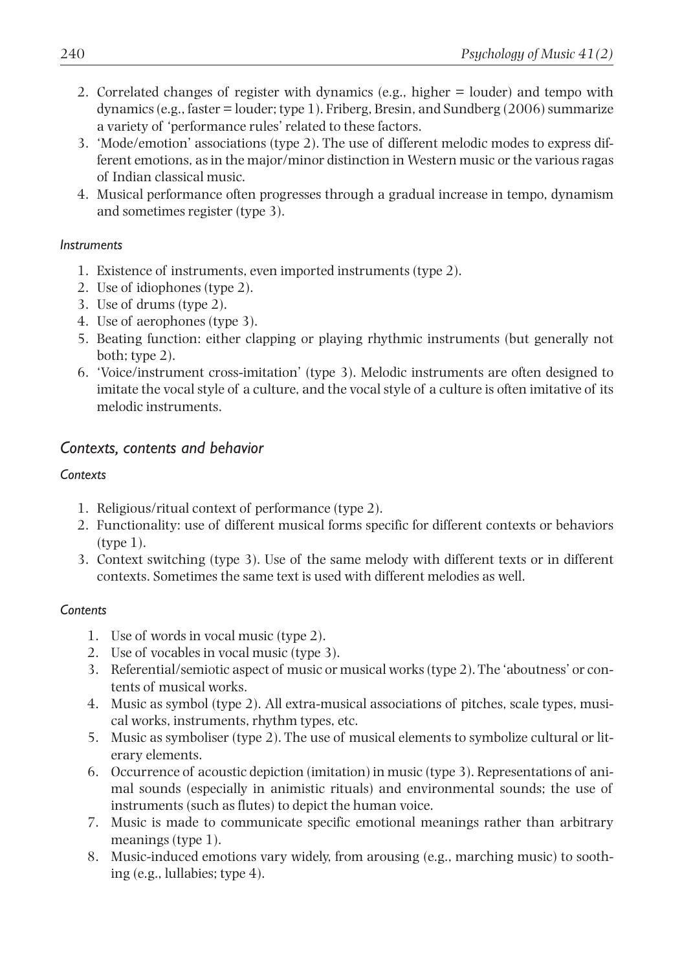- 2. Correlated changes of register with dynamics (e.g., higher = louder) and tempo with dynamics (e.g., faster = louder; type 1). Friberg, Bresin, and Sundberg (2006) summarize a variety of 'performance rules' related to these factors.
- 3. 'Mode/emotion' associations (type 2). The use of different melodic modes to express different emotions, as in the major/minor distinction in Western music or the various ragas of Indian classical music.
- 4. Musical performance often progresses through a gradual increase in tempo, dynamism and sometimes register (type 3).

### *Instruments*

- 1. Existence of instruments, even imported instruments (type 2).
- 2. Use of idiophones (type 2).
- 3. Use of drums (type 2).
- 4. Use of aerophones (type 3).
- 5. Beating function: either clapping or playing rhythmic instruments (but generally not both; type 2).
- 6. 'Voice/instrument cross-imitation' (type 3). Melodic instruments are often designed to imitate the vocal style of a culture, and the vocal style of a culture is often imitative of its melodic instruments.

## *Contexts, contents and behavior*

## *Contexts*

- 1. Religious/ritual context of performance (type 2).
- 2. Functionality: use of different musical forms specific for different contexts or behaviors (type 1).
- 3. Context switching (type 3). Use of the same melody with different texts or in different contexts. Sometimes the same text is used with different melodies as well.

## *Contents*

- 1. Use of words in vocal music (type 2).
- 2. Use of vocables in vocal music (type 3).
- 3. Referential/semiotic aspect of music or musical works (type 2). The 'aboutness' or contents of musical works.
- 4. Music as symbol (type 2). All extra-musical associations of pitches, scale types, musical works, instruments, rhythm types, etc.
- 5. Music as symboliser (type 2). The use of musical elements to symbolize cultural or literary elements.
- 6. Occurrence of acoustic depiction (imitation) in music (type 3). Representations of animal sounds (especially in animistic rituals) and environmental sounds; the use of instruments (such as flutes) to depict the human voice.
- 7. Music is made to communicate specific emotional meanings rather than arbitrary meanings (type 1).
- 8. Music-induced emotions vary widely, from arousing (e.g., marching music) to soothing (e.g., lullabies; type 4).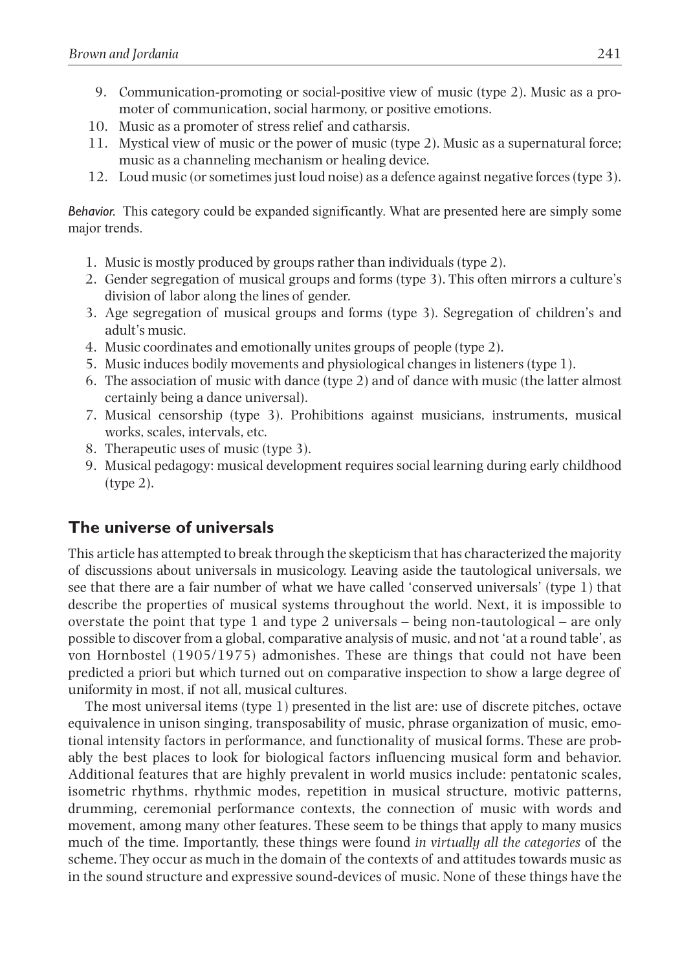- 9. Communication-promoting or social-positive view of music (type 2). Music as a promoter of communication, social harmony, or positive emotions.
- 10. Music as a promoter of stress relief and catharsis.
- 11. Mystical view of music or the power of music (type 2). Music as a supernatural force; music as a channeling mechanism or healing device.
- 12. Loud music (or sometimes just loud noise) as a defence against negative forces (type 3).

*Behavior.* This category could be expanded significantly. What are presented here are simply some major trends.

- 1. Music is mostly produced by groups rather than individuals (type 2).
- 2. Gender segregation of musical groups and forms (type 3). This often mirrors a culture's division of labor along the lines of gender.
- 3. Age segregation of musical groups and forms (type 3). Segregation of children's and adult's music.
- 4. Music coordinates and emotionally unites groups of people (type 2).
- 5. Music induces bodily movements and physiological changes in listeners (type 1).
- 6. The association of music with dance (type 2) and of dance with music (the latter almost certainly being a dance universal).
- 7. Musical censorship (type 3). Prohibitions against musicians, instruments, musical works, scales, intervals, etc.
- 8. Therapeutic uses of music (type 3).
- 9. Musical pedagogy: musical development requires social learning during early childhood (type 2).

## **The universe of universals**

This article has attempted to break through the skepticism that has characterized the majority of discussions about universals in musicology. Leaving aside the tautological universals, we see that there are a fair number of what we have called 'conserved universals' (type 1) that describe the properties of musical systems throughout the world. Next, it is impossible to overstate the point that type 1 and type 2 universals – being non-tautological – are only possible to discover from a global, comparative analysis of music, and not 'at a round table', as von Hornbostel (1905/1975) admonishes. These are things that could not have been predicted a priori but which turned out on comparative inspection to show a large degree of uniformity in most, if not all, musical cultures.

The most universal items (type 1) presented in the list are: use of discrete pitches, octave equivalence in unison singing, transposability of music, phrase organization of music, emotional intensity factors in performance, and functionality of musical forms. These are probably the best places to look for biological factors influencing musical form and behavior. Additional features that are highly prevalent in world musics include: pentatonic scales, isometric rhythms, rhythmic modes, repetition in musical structure, motivic patterns, drumming, ceremonial performance contexts, the connection of music with words and movement, among many other features. These seem to be things that apply to many musics much of the time. Importantly, these things were found *in virtually all the categories* of the scheme. They occur as much in the domain of the contexts of and attitudes towards music as in the sound structure and expressive sound-devices of music. None of these things have the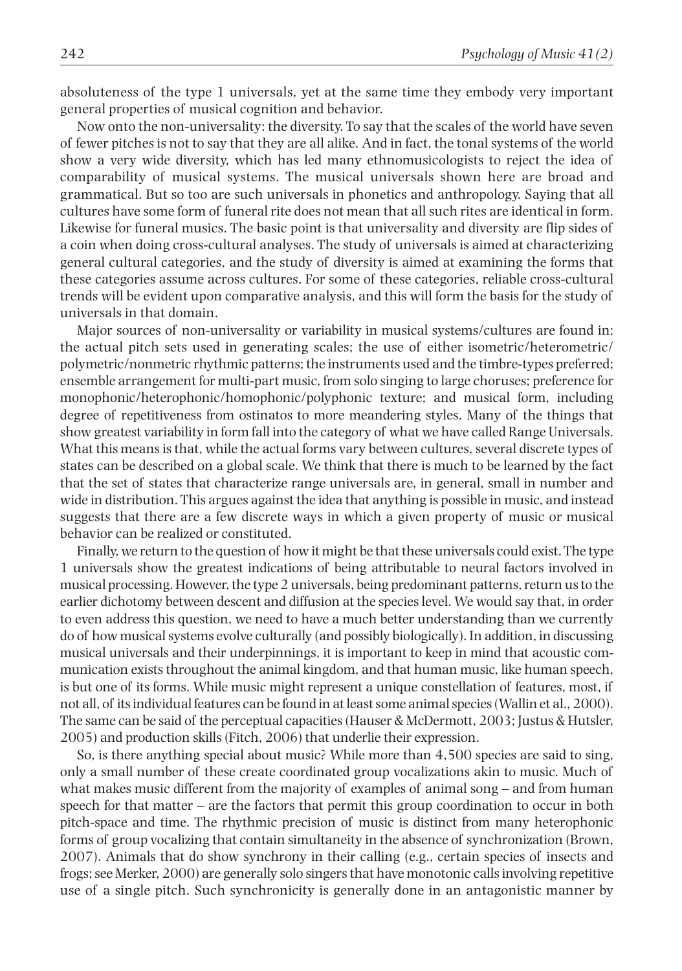absoluteness of the type 1 universals, yet at the same time they embody very important general properties of musical cognition and behavior.

Now onto the non-universality: the diversity. To say that the scales of the world have seven of fewer pitches is not to say that they are all alike. And in fact, the tonal systems of the world show a very wide diversity, which has led many ethnomusicologists to reject the idea of comparability of musical systems. The musical universals shown here are broad and grammatical. But so too are such universals in phonetics and anthropology. Saying that all cultures have some form of funeral rite does not mean that all such rites are identical in form. Likewise for funeral musics. The basic point is that universality and diversity are flip sides of a coin when doing cross-cultural analyses. The study of universals is aimed at characterizing general cultural categories, and the study of diversity is aimed at examining the forms that these categories assume across cultures. For some of these categories, reliable cross-cultural trends will be evident upon comparative analysis, and this will form the basis for the study of universals in that domain.

Major sources of non-universality or variability in musical systems/cultures are found in: the actual pitch sets used in generating scales; the use of either isometric/heterometric/ polymetric/nonmetric rhythmic patterns; the instruments used and the timbre-types preferred; ensemble arrangement for multi-part music, from solo singing to large choruses; preference for monophonic/heterophonic/homophonic/polyphonic texture; and musical form, including degree of repetitiveness from ostinatos to more meandering styles. Many of the things that show greatest variability in form fall into the category of what we have called Range Universals. What this means is that, while the actual forms vary between cultures, several discrete types of states can be described on a global scale. We think that there is much to be learned by the fact that the set of states that characterize range universals are, in general, small in number and wide in distribution. This argues against the idea that anything is possible in music, and instead suggests that there are a few discrete ways in which a given property of music or musical behavior can be realized or constituted.

Finally, we return to the question of how it might be that these universals could exist. The type 1 universals show the greatest indications of being attributable to neural factors involved in musical processing. However, the type 2 universals, being predominant patterns, return us to the earlier dichotomy between descent and diffusion at the species level. We would say that, in order to even address this question, we need to have a much better understanding than we currently do of how musical systems evolve culturally (and possibly biologically). In addition, in discussing musical universals and their underpinnings, it is important to keep in mind that acoustic communication exists throughout the animal kingdom, and that human music, like human speech, is but one of its forms. While music might represent a unique constellation of features, most, if not all, of its individual features can be found in at least some animal species (Wallin et al., 2000). The same can be said of the perceptual capacities (Hauser & McDermott, 2003; Justus & Hutsler, 2005) and production skills (Fitch, 2006) that underlie their expression.

So, is there anything special about music? While more than 4,500 species are said to sing, only a small number of these create coordinated group vocalizations akin to music. Much of what makes music different from the majority of examples of animal song – and from human speech for that matter – are the factors that permit this group coordination to occur in both pitch-space and time. The rhythmic precision of music is distinct from many heterophonic forms of group vocalizing that contain simultaneity in the absence of synchronization (Brown, 2007). Animals that do show synchrony in their calling (e.g., certain species of insects and frogs; see Merker, 2000) are generally solo singers that have monotonic calls involving repetitive use of a single pitch. Such synchronicity is generally done in an antagonistic manner by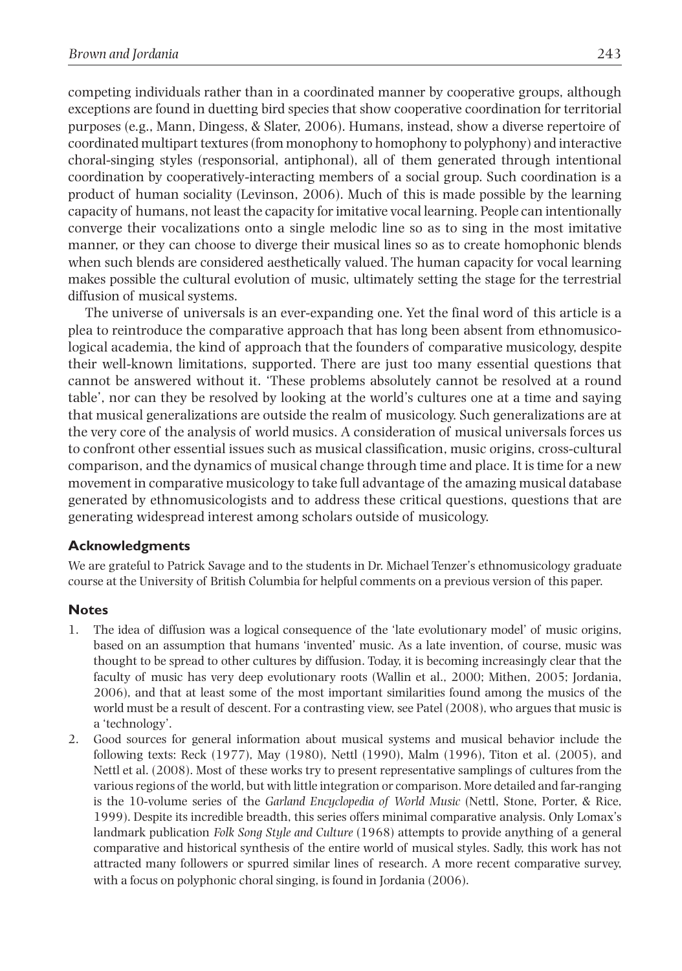competing individuals rather than in a coordinated manner by cooperative groups, although exceptions are found in duetting bird species that show cooperative coordination for territorial purposes (e.g., Mann, Dingess, & Slater, 2006). Humans, instead, show a diverse repertoire of coordinated multipart textures (from monophony to homophony to polyphony) and interactive choral-singing styles (responsorial, antiphonal), all of them generated through intentional coordination by cooperatively-interacting members of a social group. Such coordination is a product of human sociality (Levinson, 2006). Much of this is made possible by the learning capacity of humans, not least the capacity for imitative vocal learning. People can intentionally converge their vocalizations onto a single melodic line so as to sing in the most imitative manner, or they can choose to diverge their musical lines so as to create homophonic blends when such blends are considered aesthetically valued. The human capacity for vocal learning makes possible the cultural evolution of music, ultimately setting the stage for the terrestrial diffusion of musical systems.

The universe of universals is an ever-expanding one. Yet the final word of this article is a plea to reintroduce the comparative approach that has long been absent from ethnomusicological academia, the kind of approach that the founders of comparative musicology, despite their well-known limitations, supported. There are just too many essential questions that cannot be answered without it. 'These problems absolutely cannot be resolved at a round table', nor can they be resolved by looking at the world's cultures one at a time and saying that musical generalizations are outside the realm of musicology. Such generalizations are at the very core of the analysis of world musics. A consideration of musical universals forces us to confront other essential issues such as musical classification, music origins, cross-cultural comparison, and the dynamics of musical change through time and place. It is time for a new movement in comparative musicology to take full advantage of the amazing musical database generated by ethnomusicologists and to address these critical questions, questions that are generating widespread interest among scholars outside of musicology.

#### **Acknowledgments**

We are grateful to Patrick Savage and to the students in Dr. Michael Tenzer's ethnomusicology graduate course at the University of British Columbia for helpful comments on a previous version of this paper.

#### **Notes**

- 1. The idea of diffusion was a logical consequence of the 'late evolutionary model' of music origins, based on an assumption that humans 'invented' music. As a late invention, of course, music was thought to be spread to other cultures by diffusion. Today, it is becoming increasingly clear that the faculty of music has very deep evolutionary roots (Wallin et al., 2000; Mithen, 2005; Jordania, 2006), and that at least some of the most important similarities found among the musics of the world must be a result of descent. For a contrasting view, see Patel (2008), who argues that music is a 'technology'.
- 2. Good sources for general information about musical systems and musical behavior include the following texts: Reck (1977), May (1980), Nettl (1990), Malm (1996), Titon et al. (2005), and Nettl et al. (2008). Most of these works try to present representative samplings of cultures from the various regions of the world, but with little integration or comparison. More detailed and far-ranging is the 10-volume series of the *Garland Encyclopedia of World Music* (Nettl, Stone, Porter, & Rice, 1999). Despite its incredible breadth, this series offers minimal comparative analysis. Only Lomax's landmark publication *Folk Song Style and Culture* (1968) attempts to provide anything of a general comparative and historical synthesis of the entire world of musical styles. Sadly, this work has not attracted many followers or spurred similar lines of research. A more recent comparative survey, with a focus on polyphonic choral singing, is found in Jordania (2006).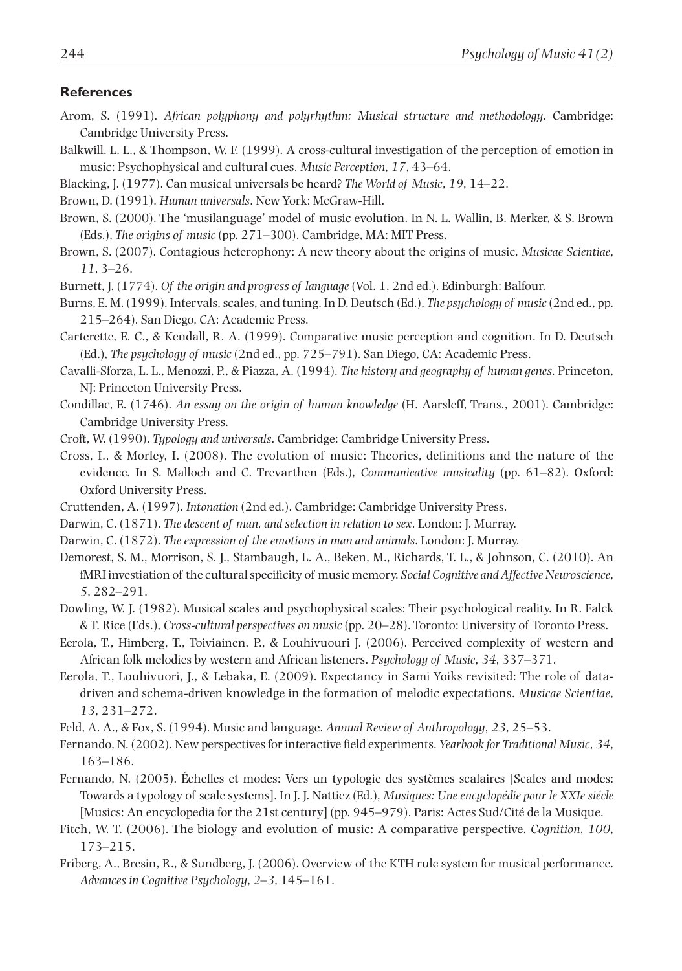#### **References**

- Arom, S. (1991). *African polyphony and polyrhythm: Musical structure and methodology*. Cambridge: Cambridge University Press.
- Balkwill, L. L., & Thompson, W. F. (1999). A cross-cultural investigation of the perception of emotion in music: Psychophysical and cultural cues. *Music Perception*, *17*, 43–64.
- Blacking, J. (1977). Can musical universals be heard? *The World of Music*, *19*, 14–22.
- Brown, D. (1991). *Human universals*. New York: McGraw-Hill.
- Brown, S. (2000). The 'musilanguage' model of music evolution. In N. L. Wallin, B. Merker, & S. Brown (Eds.), *The origins of music* (pp. 271–300). Cambridge, MA: MIT Press.
- Brown, S. (2007). Contagious heterophony: A new theory about the origins of music. *Musicae Scientiae*, *11*, 3–26.
- Burnett, J. (1774). *Of the origin and progress of language* (Vol. 1, 2nd ed.). Edinburgh: Balfour.
- Burns, E. M. (1999). Intervals, scales, and tuning. In D. Deutsch (Ed.), *The psychology of music* (2nd ed., pp. 215–264). San Diego, CA: Academic Press.
- Carterette, E. C., & Kendall, R. A. (1999). Comparative music perception and cognition. In D. Deutsch (Ed.), *The psychology of music* (2nd ed., pp. 725–791). San Diego, CA: Academic Press.
- Cavalli-Sforza, L. L., Menozzi, P., & Piazza, A. (1994). *The history and geography of human genes*. Princeton, NJ: Princeton University Press.
- Condillac, E. (1746). *An essay on the origin of human knowledge* (H. Aarsleff, Trans., 2001). Cambridge: Cambridge University Press.

Croft, W. (1990). *Typology and universals*. Cambridge: Cambridge University Press.

- Cross, I., & Morley, I. (2008). The evolution of music: Theories, definitions and the nature of the evidence. In S. Malloch and C. Trevarthen (Eds.), *Communicative musicality* (pp. 61–82). Oxford: Oxford University Press.
- Cruttenden, A. (1997). *Intonation* (2nd ed.). Cambridge: Cambridge University Press.
- Darwin, C. (1871). *The descent of man, and selection in relation to sex*. London: J. Murray.
- Darwin, C. (1872). *The expression of the emotions in man and animals*. London: J. Murray.
- Demorest, S. M., Morrison, S. J., Stambaugh, L. A., Beken, M., Richards, T. L., & Johnson, C. (2010). An fMRI investiation of the cultural specificity of music memory. *Social Cognitive and Affective Neuroscience*, *5*, 282–291.
- Dowling, W. J. (1982). Musical scales and psychophysical scales: Their psychological reality. In R. Falck & T. Rice (Eds.), *Cross-cultural perspectives on music* (pp. 20–28). Toronto: University of Toronto Press.
- Eerola, T., Himberg, T., Toiviainen, P., & Louhivuouri J. (2006). Perceived complexity of western and African folk melodies by western and African listeners. *Psychology of Music*, *34*, 337–371.
- Eerola, T., Louhivuori, J., & Lebaka, E. (2009). Expectancy in Sami Yoiks revisited: The role of datadriven and schema-driven knowledge in the formation of melodic expectations. *Musicae Scientiae*, *13*, 231–272.
- Feld, A. A., & Fox, S. (1994). Music and language. *Annual Review of Anthropology*, *23*, 25–53.
- Fernando, N. (2002). New perspectives for interactive field experiments. *Yearbook for Traditional Music*, *34*, 163–186.
- Fernando, N. (2005). Échelles et modes: Vers un typologie des systèmes scalaires [Scales and modes: Towards a typology of scale systems]. In J. J. Nattiez (Ed.), *Musiques: Une encyclopédie pour le XXIe siécle* [Musics: An encyclopedia for the 21st century] (pp. 945–979). Paris: Actes Sud/Cité de la Musique.
- Fitch, W. T. (2006). The biology and evolution of music: A comparative perspective. *Cognition*, *100*, 173–215.
- Friberg, A., Bresin, R., & Sundberg, J. (2006). Overview of the KTH rule system for musical performance. *Advances in Cognitive Psychology*, *2–3*, 145–161.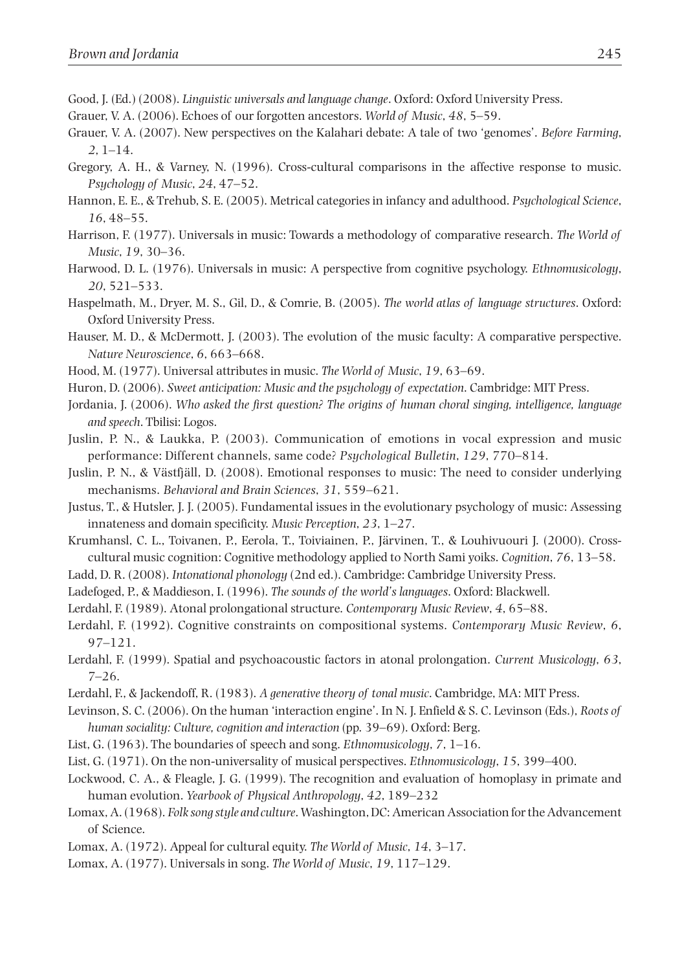- Good, J. (Ed.) (2008). *Linguistic universals and language change*. Oxford: Oxford University Press.
- Grauer, V. A. (2006). Echoes of our forgotten ancestors. *World of Music*, *48*, 5–59.
- Grauer, V. A. (2007). New perspectives on the Kalahari debate: A tale of two 'genomes'. *Before Farming*, *2*, 1–14.
- Gregory, A. H., & Varney, N. (1996). Cross-cultural comparisons in the affective response to music. *Psychology of Music*, *24*, 47–52.
- Hannon, E. E., & Trehub, S. E. (2005). Metrical categories in infancy and adulthood. *Psychological Science*, *16*, 48–55.
- Harrison, F. (1977). Universals in music: Towards a methodology of comparative research. *The World of Music*, *19*, 30–36.
- Harwood, D. L. (1976). Universals in music: A perspective from cognitive psychology. *Ethnomusicology*, *20*, 521–533.
- Haspelmath, M., Dryer, M. S., Gil, D., & Comrie, B. (2005). *The world atlas of language structures*. Oxford: Oxford University Press.
- Hauser, M. D., & McDermott, J. (2003). The evolution of the music faculty: A comparative perspective. *Nature Neuroscience*, *6*, 663–668.
- Hood, M. (1977). Universal attributes in music. *The World of Music*, *19*, 63–69.
- Huron, D. (2006). *Sweet anticipation: Music and the psychology of expectation*. Cambridge: MIT Press.
- Jordania, J. (2006). *Who asked the first question? The origins of human choral singing, intelligence, language and speech*. Tbilisi: Logos.
- Juslin, P. N., & Laukka, P. (2003). Communication of emotions in vocal expression and music performance: Different channels, same code? *Psychological Bulletin*, *129*, 770–814.
- Juslin, P. N., & Västfjäll, D. (2008). Emotional responses to music: The need to consider underlying mechanisms. *Behavioral and Brain Sciences*, *31*, 559–621.
- Justus, T., & Hutsler, J. J. (2005). Fundamental issues in the evolutionary psychology of music: Assessing innateness and domain specificity. *Music Perception*, *23*, 1–27.
- Krumhansl, C. L., Toivanen, P., Eerola, T., Toiviainen, P., Järvinen, T., & Louhivuouri J. (2000). Crosscultural music cognition: Cognitive methodology applied to North Sami yoiks. *Cognition*, *76*, 13–58.
- Ladd, D. R. (2008). *Intonational phonology* (2nd ed.). Cambridge: Cambridge University Press.
- Ladefoged, P., & Maddieson, I. (1996). *The sounds of the world's languages*. Oxford: Blackwell.
- Lerdahl, F. (1989). Atonal prolongational structure. *Contemporary Music Review*, *4*, 65–88.
- Lerdahl, F. (1992). Cognitive constraints on compositional systems. *Contemporary Music Review*, *6*, 97–121.
- Lerdahl, F. (1999). Spatial and psychoacoustic factors in atonal prolongation. *Current Musicology*, *63*, 7–26.
- Lerdahl, F., & Jackendoff, R. (1983). *A generative theory of tonal music*. Cambridge, MA: MIT Press.
- Levinson, S. C. (2006). On the human 'interaction engine'. In N. J. Enfield & S. C. Levinson (Eds.), *Roots of human sociality: Culture, cognition and interaction* (pp. 39–69). Oxford: Berg.
- List, G. (1963). The boundaries of speech and song. *Ethnomusicology*, *7*, 1–16.
- List, G. (1971). On the non-universality of musical perspectives. *Ethnomusicology*, *15*, 399–400.
- Lockwood, C. A., & Fleagle, J. G. (1999). The recognition and evaluation of homoplasy in primate and human evolution. *Yearbook of Physical Anthropology*, *42*, 189–232
- Lomax, A. (1968). *Folk song style and culture*. Washington, DC: American Association for the Advancement of Science.
- Lomax, A. (1972). Appeal for cultural equity. *The World of Music*, *14*, 3–17.
- Lomax, A. (1977). Universals in song. *The World of Music*, *19*, 117–129.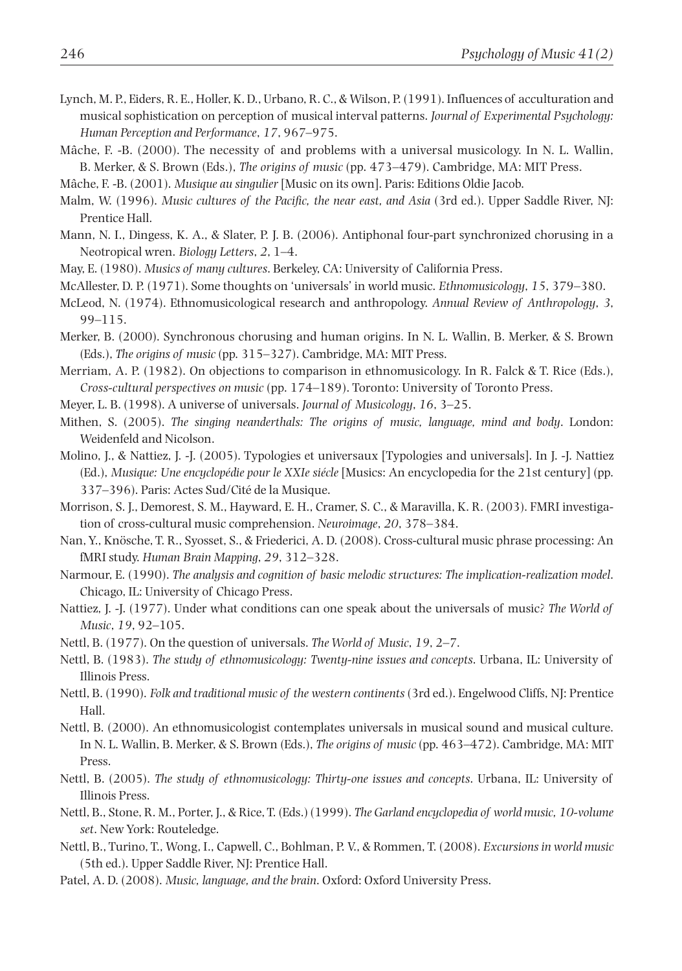- Lynch, M. P., Eiders, R. E., Holler, K. D., Urbano, R. C., & Wilson, P. (1991). Influences of acculturation and musical sophistication on perception of musical interval patterns. *Journal of Experimental Psychology: Human Perception and Performance*, *17*, 967–975.
- Mâche, F. -B. (2000). The necessity of and problems with a universal musicology. In N. L. Wallin, B. Merker, & S. Brown (Eds.), *The origins of music* (pp. 473–479). Cambridge, MA: MIT Press.
- Mâche, F. -B. (2001). *Musique au singulier* [Music on its own]. Paris: Editions Oldie Jacob.
- Malm, W. (1996). *Music cultures of the Pacific, the near east, and Asia* (3rd ed.). Upper Saddle River, NJ: Prentice Hall.
- Mann, N. I., Dingess, K. A., & Slater, P. J. B. (2006). Antiphonal four-part synchronized chorusing in a Neotropical wren. *Biology Letters*, *2*, 1–4.
- May, E. (1980). *Musics of many cultures*. Berkeley, CA: University of California Press.
- McAllester, D. P. (1971). Some thoughts on 'universals' in world music. *Ethnomusicology*, *15*, 379–380.
- McLeod, N. (1974). Ethnomusicological research and anthropology. *Annual Review of Anthropology*, *3*, 99–115.
- Merker, B. (2000). Synchronous chorusing and human origins. In N. L. Wallin, B. Merker, & S. Brown (Eds.), *The origins of music* (pp. 315–327). Cambridge, MA: MIT Press.
- Merriam, A. P. (1982). On objections to comparison in ethnomusicology. In R. Falck & T. Rice (Eds.), *Cross-cultural perspectives on music* (pp. 174–189). Toronto: University of Toronto Press.
- Meyer, L. B. (1998). A universe of universals. *Journal of Musicology*, *16*, 3–25.
- Mithen, S. (2005). *The singing neanderthals: The origins of music, language, mind and body*. London: Weidenfeld and Nicolson.
- Molino, J., & Nattiez, J. -J. (2005). Typologies et universaux [Typologies and universals]. In J. -J. Nattiez (Ed.), *Musique: Une encyclopédie pour le XXIe siécle* [Musics: An encyclopedia for the 21st century] (pp. 337–396). Paris: Actes Sud/Cité de la Musique.
- Morrison, S. J., Demorest, S. M., Hayward, E. H., Cramer, S. C., & Maravilla, K. R. (2003). FMRI investigation of cross-cultural music comprehension. *Neuroimage*, *20*, 378–384.
- Nan, Y., Knösche, T. R., Syosset, S., & Friederici, A. D. (2008). Cross-cultural music phrase processing: An fMRI study. *Human Brain Mapping*, *29*, 312–328.
- Narmour, E. (1990). *The analysis and cognition of basic melodic structures: The implication-realization model*. Chicago, IL: University of Chicago Press.
- Nattiez, J. -J. (1977). Under what conditions can one speak about the universals of music? *The World of Music*, *19*, 92–105.
- Nettl, B. (1977). On the question of universals. *The World of Music*, *19*, 2–7.
- Nettl, B. (1983). *The study of ethnomusicology: Twenty-nine issues and concepts*. Urbana, IL: University of Illinois Press.
- Nettl, B. (1990). *Folk and traditional music of the western continents* (3rd ed.). Engelwood Cliffs, NJ: Prentice Hall.
- Nettl, B. (2000). An ethnomusicologist contemplates universals in musical sound and musical culture. In N. L. Wallin, B. Merker, & S. Brown (Eds.), *The origins of music* (pp. 463–472). Cambridge, MA: MIT Press.
- Nettl, B. (2005). *The study of ethnomusicology: Thirty-one issues and concepts*. Urbana, IL: University of Illinois Press.
- Nettl, B., Stone, R. M., Porter, J., & Rice, T. (Eds.) (1999). *The Garland encyclopedia of world music, 10-volume set*. New York: Routeledge.
- Nettl, B., Turino, T., Wong, I., Capwell, C., Bohlman, P. V., & Rommen, T. (2008). *Excursions in world music* (5th ed.). Upper Saddle River, NJ: Prentice Hall.
- Patel, A. D. (2008). *Music, language, and the brain*. Oxford: Oxford University Press.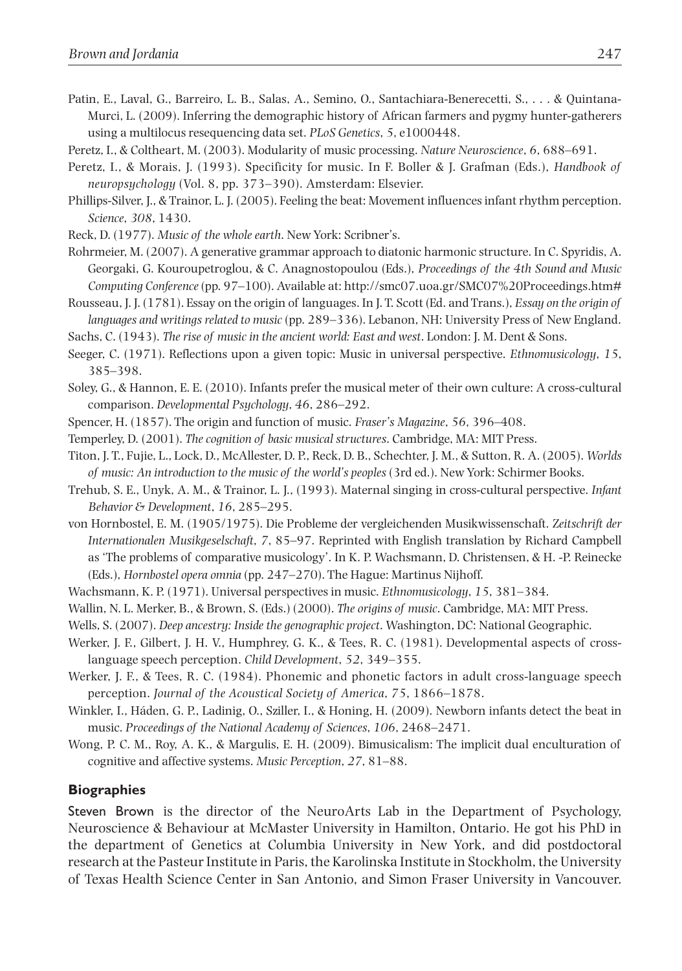- Patin, E., Laval, G., Barreiro, L. B., Salas, A., Semino, O., Santachiara-Benerecetti, S., . . . & Quintana-Murci, L. (2009). Inferring the demographic history of African farmers and pygmy hunter-gatherers using a multilocus resequencing data set. *PLoS Genetics*, *5*, e1000448.
- Peretz, I., & Coltheart, M. (2003). Modularity of music processing. *Nature Neuroscience*, *6*, 688–691.
- Peretz, I., & Morais, J. (1993). Specificity for music. In F. Boller & J. Grafman (Eds.), *Handbook of neuropsychology* (Vol. 8, pp. 373–390). Amsterdam: Elsevier.
- Phillips-Silver, J., & Trainor, L. J. (2005). Feeling the beat: Movement influences infant rhythm perception. *Science*, *308*, 1430.
- Reck, D. (1977). *Music of the whole earth*. New York: Scribner's.
- Rohrmeier, M. (2007). A generative grammar approach to diatonic harmonic structure. In C. Spyridis, A. Georgaki, G. Kouroupetroglou, & C. Anagnostopoulou (Eds.), *Proceedings of the 4th Sound and Music Computing Conference* (pp. 97–100). Available at: http://smc07.uoa.gr/SMC07%20Proceedings.htm#
- Rousseau, J. J. (1781). Essay on the origin of languages. In J. T. Scott (Ed. and Trans.), *Essay on the origin of languages and writings related to music* (pp. 289–336). Lebanon, NH: University Press of New England.
- Sachs, C. (1943). *The rise of music in the ancient world: East and west*. London: J. M. Dent & Sons.
- Seeger, C. (1971). Reflections upon a given topic: Music in universal perspective. *Ethnomusicology*, *15*, 385–398.
- Soley, G., & Hannon, E. E. (2010). Infants prefer the musical meter of their own culture: A cross-cultural comparison. *Developmental Psychology*, *46*, 286–292.
- Spencer, H. (1857). The origin and function of music. *Fraser's Magazine*, *56*, 396–408.
- Temperley, D. (2001). *The cognition of basic musical structures*. Cambridge, MA: MIT Press.
- Titon, J. T., Fujie, L., Lock, D., McAllester, D. P., Reck, D. B., Schechter, J. M., & Sutton, R. A. (2005). *Worlds of music: An introduction to the music of the world's peoples* (3rd ed.). New York: Schirmer Books.
- Trehub, S. E., Unyk, A. M., & Trainor, L. J., (1993). Maternal singing in cross-cultural perspective. *Infant Behavior & Development*, *16*, 285–295.
- von Hornbostel, E. M. (1905/1975). Die Probleme der vergleichenden Musikwissenschaft. *Zeitschrift der Internationalen Musikgeselschaft*, *7*, 85–97. Reprinted with English translation by Richard Campbell as 'The problems of comparative musicology'. In K. P. Wachsmann, D. Christensen, & H. -P. Reinecke (Eds.), *Hornbostel opera omnia* (pp. 247–270). The Hague: Martinus Nijhoff.
- Wachsmann, K. P. (1971). Universal perspectives in music. *Ethnomusicology*, *15*, 381–384.
- Wallin, N. L. Merker, B., & Brown, S. (Eds.) (2000). *The origins of music*. Cambridge, MA: MIT Press.
- Wells, S. (2007). *Deep ancestry: Inside the genographic project*. Washington, DC: National Geographic.
- Werker, J. F., Gilbert, J. H. V., Humphrey, G. K., & Tees, R. C. (1981). Developmental aspects of crosslanguage speech perception. *Child Development*, *52*, 349–355.
- Werker, J. F., & Tees, R. C. (1984). Phonemic and phonetic factors in adult cross-language speech perception. *Journal of the Acoustical Society of America*, *75*, 1866–1878.
- Winkler, I., Háden, G. P., Ladinig, O., Sziller, I., & Honing, H. (2009). Newborn infants detect the beat in music. *Proceedings of the National Academy of Sciences*, *106*, 2468–2471.
- Wong, P. C. M., Roy, A. K., & Margulis, E. H. (2009). Bimusicalism: The implicit dual enculturation of cognitive and affective systems. *Music Perception*, *27*, 81–88.

#### **Biographies**

Steven Brown is the director of the NeuroArts Lab in the Department of Psychology, Neuroscience & Behaviour at McMaster University in Hamilton, Ontario. He got his PhD in the department of Genetics at Columbia University in New York, and did postdoctoral research at the Pasteur Institute in Paris, the Karolinska Institute in Stockholm, the University of Texas Health Science Center in San Antonio, and Simon Fraser University in Vancouver.